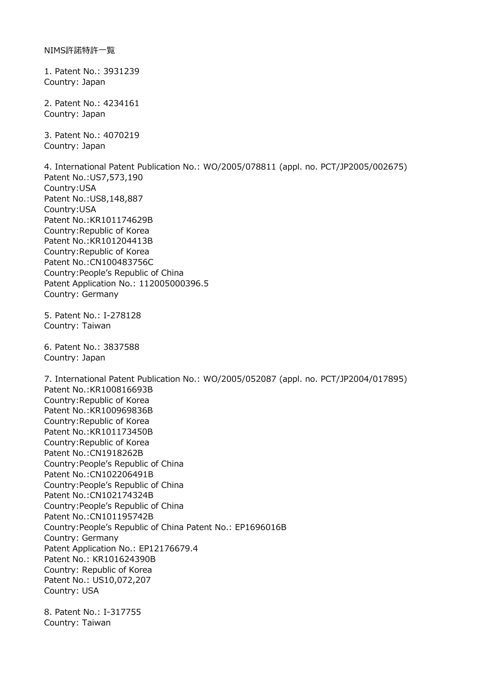1. Patent No.: 3931239 Country: Japan

2. Patent No.: 4234161 Country: Japan

3. Patent No.: 4070219 Country: Japan

4. International Patent Publication No.: WO/2005/078811 (appl. no. PCT/JP2005/002675) Patent No.:US7,573,190 Country:USA Patent No.:US8,148,887 Country:USA Patent No.:KR101174629B Country:Republic of Korea Patent No.:KR101204413B Country:Republic of Korea Patent No.:CN100483756C Country:People's Republic of China Patent Application No.: 112005000396.5 Country: Germany 5. Patent No.: I-278128 Country: Taiwan

6. Patent No.: 3837588 Country: Japan

7. International Patent Publication No.: WO/2005/052087 (appl. no. PCT/JP2004/017895) Patent No.:KR100816693B Country:Republic of Korea Patent No.:KR100969836B Country:Republic of Korea Patent No.:KR101173450B Country:Republic of Korea Patent No.:CN1918262B Country:People's Republic of China Patent No.:CN102206491B Country:People's Republic of China Patent No.:CN102174324B Country:People's Republic of China Patent No.:CN101195742B Country:People's Republic of China Patent No.: EP1696016B Country: Germany Patent Application No.: EP12176679.4 Patent No.: KR101624390B Country: Republic of Korea Patent No.: US10,072,207 Country: USA

8. Patent No.: I-317755 Country: Taiwan